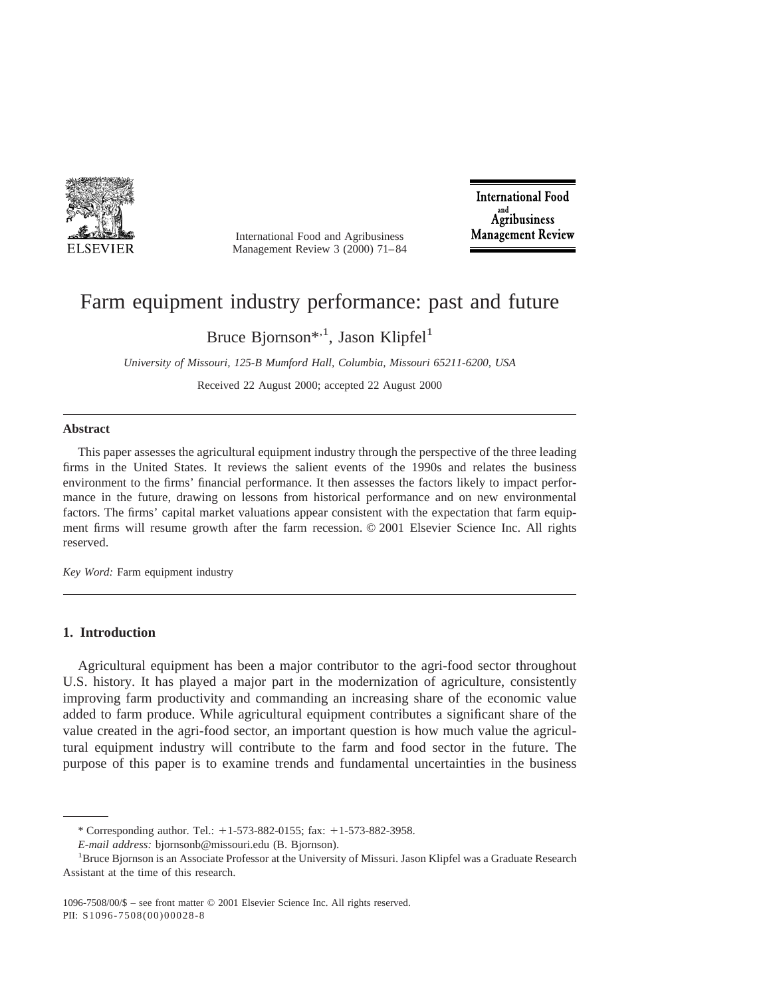

International Food and Agribusiness Management Review 3 (2000) 71–84

**International Food** Agribusiness **Management Review** 

# Farm equipment industry performance: past and future

Bruce Bjornson<sup>\*,1</sup>, Jason Klipfel<sup>1</sup>

*University of Missouri, 125-B Mumford Hall, Columbia, Missouri 65211-6200, USA*

Received 22 August 2000; accepted 22 August 2000

#### **Abstract**

This paper assesses the agricultural equipment industry through the perspective of the three leading firms in the United States. It reviews the salient events of the 1990s and relates the business environment to the firms' financial performance. It then assesses the factors likely to impact performance in the future, drawing on lessons from historical performance and on new environmental factors. The firms' capital market valuations appear consistent with the expectation that farm equipment firms will resume growth after the farm recession. © 2001 Elsevier Science Inc. All rights reserved.

*Key Word:* Farm equipment industry

## **1. Introduction**

Agricultural equipment has been a major contributor to the agri-food sector throughout U.S. history. It has played a major part in the modernization of agriculture, consistently improving farm productivity and commanding an increasing share of the economic value added to farm produce. While agricultural equipment contributes a significant share of the value created in the agri-food sector, an important question is how much value the agricultural equipment industry will contribute to the farm and food sector in the future. The purpose of this paper is to examine trends and fundamental uncertainties in the business

<sup>\*</sup> Corresponding author. Tel.: 11-573-882-0155; fax: 11-573-882-3958.

*E-mail address:* bjornsonb@missouri.edu (B. Bjornson). <sup>1</sup>

<sup>&</sup>lt;sup>1</sup>Bruce Bjornson is an Associate Professor at the University of Missuri. Jason Klipfel was a Graduate Research Assistant at the time of this research.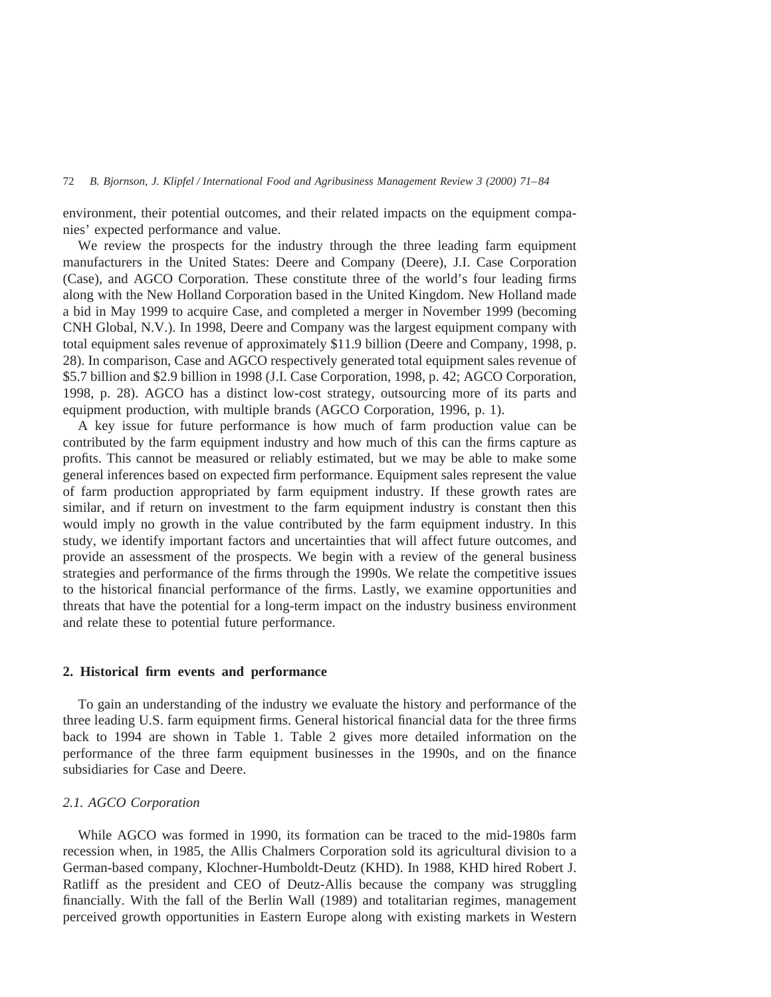environment, their potential outcomes, and their related impacts on the equipment companies' expected performance and value.

We review the prospects for the industry through the three leading farm equipment manufacturers in the United States: Deere and Company (Deere), J.I. Case Corporation (Case), and AGCO Corporation. These constitute three of the world's four leading firms along with the New Holland Corporation based in the United Kingdom. New Holland made a bid in May 1999 to acquire Case, and completed a merger in November 1999 (becoming CNH Global, N.V.). In 1998, Deere and Company was the largest equipment company with total equipment sales revenue of approximately \$11.9 billion (Deere and Company, 1998, p. 28). In comparison, Case and AGCO respectively generated total equipment sales revenue of \$5.7 billion and \$2.9 billion in 1998 (J.I. Case Corporation, 1998, p. 42; AGCO Corporation, 1998, p. 28). AGCO has a distinct low-cost strategy, outsourcing more of its parts and equipment production, with multiple brands (AGCO Corporation, 1996, p. 1).

A key issue for future performance is how much of farm production value can be contributed by the farm equipment industry and how much of this can the firms capture as profits. This cannot be measured or reliably estimated, but we may be able to make some general inferences based on expected firm performance. Equipment sales represent the value of farm production appropriated by farm equipment industry. If these growth rates are similar, and if return on investment to the farm equipment industry is constant then this would imply no growth in the value contributed by the farm equipment industry. In this study, we identify important factors and uncertainties that will affect future outcomes, and provide an assessment of the prospects. We begin with a review of the general business strategies and performance of the firms through the 1990s. We relate the competitive issues to the historical financial performance of the firms. Lastly, we examine opportunities and threats that have the potential for a long-term impact on the industry business environment and relate these to potential future performance.

#### **2. Historical firm events and performance**

To gain an understanding of the industry we evaluate the history and performance of the three leading U.S. farm equipment firms. General historical financial data for the three firms back to 1994 are shown in Table 1. Table 2 gives more detailed information on the performance of the three farm equipment businesses in the 1990s, and on the finance subsidiaries for Case and Deere.

#### *2.1. AGCO Corporation*

While AGCO was formed in 1990, its formation can be traced to the mid-1980s farm recession when, in 1985, the Allis Chalmers Corporation sold its agricultural division to a German-based company, Klochner-Humboldt-Deutz (KHD). In 1988, KHD hired Robert J. Ratliff as the president and CEO of Deutz-Allis because the company was struggling financially. With the fall of the Berlin Wall (1989) and totalitarian regimes, management perceived growth opportunities in Eastern Europe along with existing markets in Western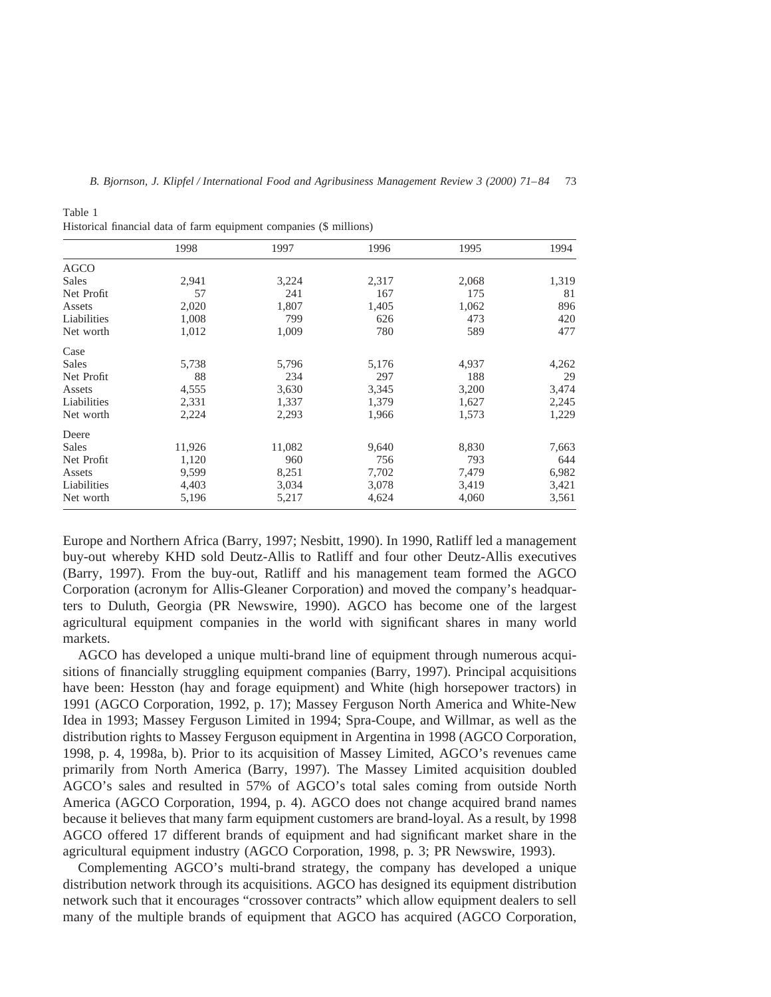| Thistorical miancial data of farm equipment companies $(\varphi$ mimons) |        |        |       |       |       |  |
|--------------------------------------------------------------------------|--------|--------|-------|-------|-------|--|
|                                                                          | 1998   | 1997   | 1996  | 1995  | 1994  |  |
| <b>AGCO</b>                                                              |        |        |       |       |       |  |
| <b>Sales</b>                                                             | 2,941  | 3,224  | 2,317 | 2,068 | 1,319 |  |
| Net Profit                                                               | 57     | 241    | 167   | 175   | 81    |  |
| Assets                                                                   | 2,020  | 1,807  | 1,405 | 1,062 | 896   |  |
| Liabilities                                                              | 1,008  | 799    | 626   | 473   | 420   |  |
| Net worth                                                                | 1,012  | 1,009  | 780   | 589   | 477   |  |
| Case                                                                     |        |        |       |       |       |  |
| <b>Sales</b>                                                             | 5,738  | 5,796  | 5,176 | 4,937 | 4,262 |  |
| Net Profit                                                               | 88     | 234    | 297   | 188   | 29    |  |
| Assets                                                                   | 4,555  | 3,630  | 3,345 | 3,200 | 3,474 |  |
| Liabilities                                                              | 2,331  | 1,337  | 1,379 | 1,627 | 2,245 |  |
| Net worth                                                                | 2,224  | 2,293  | 1,966 | 1,573 | 1,229 |  |
| Deere                                                                    |        |        |       |       |       |  |
| <b>Sales</b>                                                             | 11,926 | 11,082 | 9,640 | 8,830 | 7,663 |  |
| Net Profit                                                               | 1,120  | 960    | 756   | 793   | 644   |  |
| Assets                                                                   | 9,599  | 8,251  | 7,702 | 7,479 | 6,982 |  |
| Liabilities                                                              | 4,403  | 3,034  | 3,078 | 3,419 | 3,421 |  |
| Net worth                                                                | 5,196  | 5,217  | 4,624 | 4,060 | 3,561 |  |

Table 1 Historical financial data of farm equipment companies (\$ millions)

Europe and Northern Africa (Barry, 1997; Nesbitt, 1990). In 1990, Ratliff led a management buy-out whereby KHD sold Deutz-Allis to Ratliff and four other Deutz-Allis executives (Barry, 1997). From the buy-out, Ratliff and his management team formed the AGCO Corporation (acronym for Allis-Gleaner Corporation) and moved the company's headquarters to Duluth, Georgia (PR Newswire, 1990). AGCO has become one of the largest agricultural equipment companies in the world with significant shares in many world markets.

AGCO has developed a unique multi-brand line of equipment through numerous acquisitions of financially struggling equipment companies (Barry, 1997). Principal acquisitions have been: Hesston (hay and forage equipment) and White (high horsepower tractors) in 1991 (AGCO Corporation, 1992, p. 17); Massey Ferguson North America and White-New Idea in 1993; Massey Ferguson Limited in 1994; Spra-Coupe, and Willmar, as well as the distribution rights to Massey Ferguson equipment in Argentina in 1998 (AGCO Corporation, 1998, p. 4, 1998a, b). Prior to its acquisition of Massey Limited, AGCO's revenues came primarily from North America (Barry, 1997). The Massey Limited acquisition doubled AGCO's sales and resulted in 57% of AGCO's total sales coming from outside North America (AGCO Corporation, 1994, p. 4). AGCO does not change acquired brand names because it believes that many farm equipment customers are brand-loyal. As a result, by 1998 AGCO offered 17 different brands of equipment and had significant market share in the agricultural equipment industry (AGCO Corporation, 1998, p. 3; PR Newswire, 1993).

Complementing AGCO's multi-brand strategy, the company has developed a unique distribution network through its acquisitions. AGCO has designed its equipment distribution network such that it encourages "crossover contracts" which allow equipment dealers to sell many of the multiple brands of equipment that AGCO has acquired (AGCO Corporation,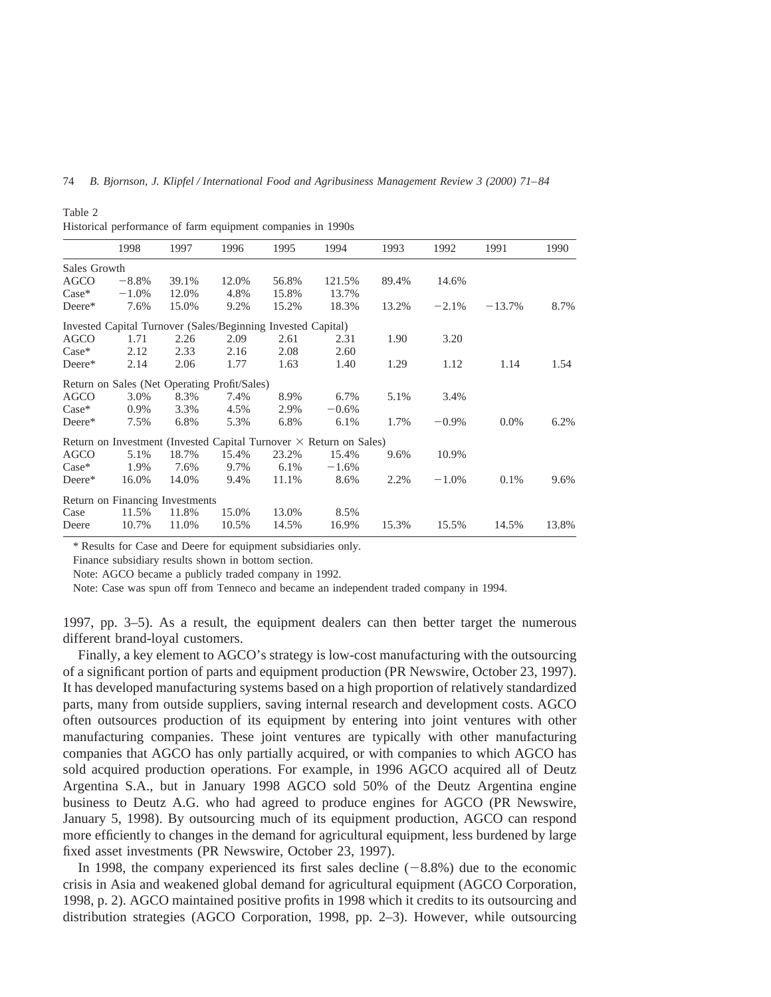|              | 1998                            | 1997  | 1996                                         | 1995                                                         | 1994                                                                      | 1993  | 1992     | 1991     | 1990  |
|--------------|---------------------------------|-------|----------------------------------------------|--------------------------------------------------------------|---------------------------------------------------------------------------|-------|----------|----------|-------|
| Sales Growth |                                 |       |                                              |                                                              |                                                                           |       |          |          |       |
| <b>AGCO</b>  | $-8.8\%$                        | 39.1% | 12.0%                                        | 56.8%                                                        | 121.5%                                                                    | 89.4% | 14.6%    |          |       |
| $Case*$      | $-1.0\%$                        | 12.0% | 4.8%                                         | 15.8%                                                        | 13.7%                                                                     |       |          |          |       |
| Deere*       | 7.6%                            | 15.0% | 9.2%                                         | 15.2%                                                        | 18.3%                                                                     | 13.2% | $-2.1%$  | $-13.7%$ | 8.7%  |
|              |                                 |       |                                              | Invested Capital Turnover (Sales/Beginning Invested Capital) |                                                                           |       |          |          |       |
| <b>AGCO</b>  | 1.71                            | 2.26  | 2.09                                         | 2.61                                                         | 2.31                                                                      | 1.90  | 3.20     |          |       |
| $Case*$      | 2.12                            | 2.33  | 2.16                                         | 2.08                                                         | 2.60                                                                      |       |          |          |       |
| Deere*       | 2.14                            | 2.06  | 1.77                                         | 1.63                                                         | 1.40                                                                      | 1.29  | 1.12     | 1.14     | 1.54  |
|              |                                 |       | Return on Sales (Net Operating Profit/Sales) |                                                              |                                                                           |       |          |          |       |
| <b>AGCO</b>  | 3.0%                            | 8.3%  | 7.4%                                         | 8.9%                                                         | 6.7%                                                                      | 5.1%  | 3.4%     |          |       |
| $Case*$      | 0.9%                            | 3.3%  | 4.5%                                         | 2.9%                                                         | $-0.6%$                                                                   |       |          |          |       |
| Deere*       | 7.5%                            | 6.8%  | 5.3%                                         | 6.8%                                                         | 6.1%                                                                      | 1.7%  | $-0.9\%$ | $0.0\%$  | 6.2%  |
|              |                                 |       |                                              |                                                              | Return on Investment (Invested Capital Turnover $\times$ Return on Sales) |       |          |          |       |
| AGCO         | 5.1%                            | 18.7% | 15.4%                                        | 23.2%                                                        | 15.4%                                                                     | 9.6%  | 10.9%    |          |       |
| $Case*$      | 1.9%                            | 7.6%  | 9.7%                                         | 6.1%                                                         | $-1.6%$                                                                   |       |          |          |       |
| Deere*       | 16.0%                           | 14.0% | 9.4%                                         | 11.1%                                                        | 8.6%                                                                      | 2.2%  | $-1.0\%$ | 0.1%     | 9.6%  |
|              | Return on Financing Investments |       |                                              |                                                              |                                                                           |       |          |          |       |
| Case         | 11.5%                           | 11.8% | 15.0%                                        | 13.0%                                                        | 8.5%                                                                      |       |          |          |       |
| Deere        | 10.7%                           | 11.0% | 10.5%                                        | 14.5%                                                        | 16.9%                                                                     | 15.3% | 15.5%    | 14.5%    | 13.8% |

| $\mu$ uviv $\mu$ |  |                                                             |  |
|------------------|--|-------------------------------------------------------------|--|
|                  |  | Historical performance of farm equipment companies in 1990s |  |

Table 2

\* Results for Case and Deere for equipment subsidiaries only.

Finance subsidiary results shown in bottom section.

Note: AGCO became a publicly traded company in 1992.

Note: Case was spun off from Tenneco and became an independent traded company in 1994.

1997, pp. 3–5). As a result, the equipment dealers can then better target the numerous different brand-loyal customers.

Finally, a key element to AGCO's strategy is low-cost manufacturing with the outsourcing of a significant portion of parts and equipment production (PR Newswire, October 23, 1997). It has developed manufacturing systems based on a high proportion of relatively standardized parts, many from outside suppliers, saving internal research and development costs. AGCO often outsources production of its equipment by entering into joint ventures with other manufacturing companies. These joint ventures are typically with other manufacturing companies that AGCO has only partially acquired, or with companies to which AGCO has sold acquired production operations. For example, in 1996 AGCO acquired all of Deutz Argentina S.A., but in January 1998 AGCO sold 50% of the Deutz Argentina engine business to Deutz A.G. who had agreed to produce engines for AGCO (PR Newswire, January 5, 1998). By outsourcing much of its equipment production, AGCO can respond more efficiently to changes in the demand for agricultural equipment, less burdened by large fixed asset investments (PR Newswire, October 23, 1997).

In 1998, the company experienced its first sales decline  $(-8.8\%)$  due to the economic crisis in Asia and weakened global demand for agricultural equipment (AGCO Corporation, 1998, p. 2). AGCO maintained positive profits in 1998 which it credits to its outsourcing and distribution strategies (AGCO Corporation, 1998, pp. 2–3). However, while outsourcing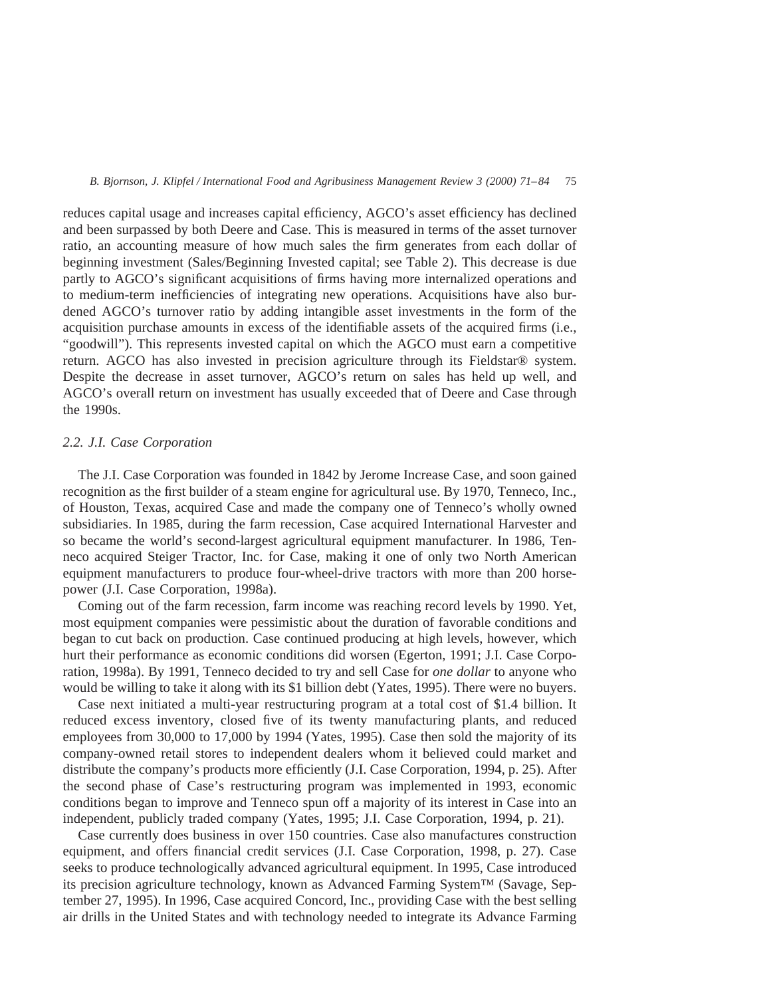reduces capital usage and increases capital efficiency, AGCO's asset efficiency has declined and been surpassed by both Deere and Case. This is measured in terms of the asset turnover ratio, an accounting measure of how much sales the firm generates from each dollar of beginning investment (Sales/Beginning Invested capital; see Table 2). This decrease is due partly to AGCO's significant acquisitions of firms having more internalized operations and to medium-term inefficiencies of integrating new operations. Acquisitions have also burdened AGCO's turnover ratio by adding intangible asset investments in the form of the acquisition purchase amounts in excess of the identifiable assets of the acquired firms (i.e., "goodwill"). This represents invested capital on which the AGCO must earn a competitive return. AGCO has also invested in precision agriculture through its Fieldstar® system. Despite the decrease in asset turnover, AGCO's return on sales has held up well, and AGCO's overall return on investment has usually exceeded that of Deere and Case through the 1990s.

# *2.2. J.I. Case Corporation*

The J.I. Case Corporation was founded in 1842 by Jerome Increase Case, and soon gained recognition as the first builder of a steam engine for agricultural use. By 1970, Tenneco, Inc., of Houston, Texas, acquired Case and made the company one of Tenneco's wholly owned subsidiaries. In 1985, during the farm recession, Case acquired International Harvester and so became the world's second-largest agricultural equipment manufacturer. In 1986, Tenneco acquired Steiger Tractor, Inc. for Case, making it one of only two North American equipment manufacturers to produce four-wheel-drive tractors with more than 200 horsepower (J.I. Case Corporation, 1998a).

Coming out of the farm recession, farm income was reaching record levels by 1990. Yet, most equipment companies were pessimistic about the duration of favorable conditions and began to cut back on production. Case continued producing at high levels, however, which hurt their performance as economic conditions did worsen (Egerton, 1991; J.I. Case Corporation, 1998a). By 1991, Tenneco decided to try and sell Case for *one dollar* to anyone who would be willing to take it along with its \$1 billion debt (Yates, 1995). There were no buyers.

Case next initiated a multi-year restructuring program at a total cost of \$1.4 billion. It reduced excess inventory, closed five of its twenty manufacturing plants, and reduced employees from 30,000 to 17,000 by 1994 (Yates, 1995). Case then sold the majority of its company-owned retail stores to independent dealers whom it believed could market and distribute the company's products more efficiently (J.I. Case Corporation, 1994, p. 25). After the second phase of Case's restructuring program was implemented in 1993, economic conditions began to improve and Tenneco spun off a majority of its interest in Case into an independent, publicly traded company (Yates, 1995; J.I. Case Corporation, 1994, p. 21).

Case currently does business in over 150 countries. Case also manufactures construction equipment, and offers financial credit services (J.I. Case Corporation, 1998, p. 27). Case seeks to produce technologically advanced agricultural equipment. In 1995, Case introduced its precision agriculture technology, known as Advanced Farming System™ (Savage, September 27, 1995). In 1996, Case acquired Concord, Inc., providing Case with the best selling air drills in the United States and with technology needed to integrate its Advance Farming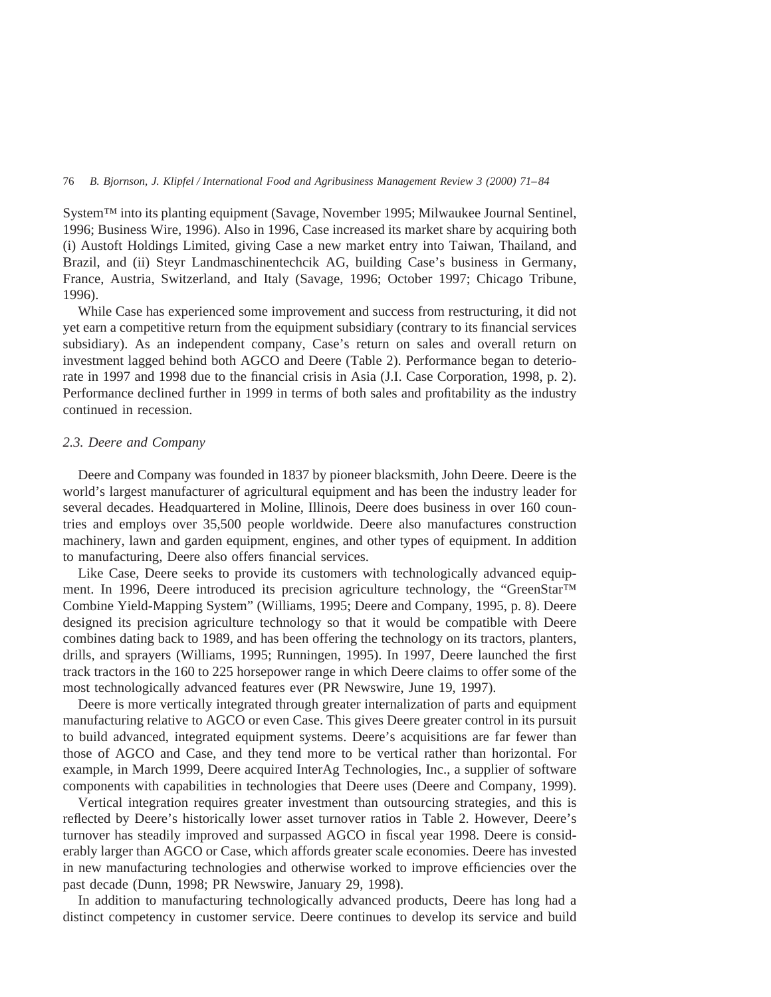System™ into its planting equipment (Savage, November 1995; Milwaukee Journal Sentinel, 1996; Business Wire, 1996). Also in 1996, Case increased its market share by acquiring both (i) Austoft Holdings Limited, giving Case a new market entry into Taiwan, Thailand, and Brazil, and (ii) Steyr Landmaschinentechcik AG, building Case's business in Germany, France, Austria, Switzerland, and Italy (Savage, 1996; October 1997; Chicago Tribune, 1996).

While Case has experienced some improvement and success from restructuring, it did not yet earn a competitive return from the equipment subsidiary (contrary to its financial services subsidiary). As an independent company, Case's return on sales and overall return on investment lagged behind both AGCO and Deere (Table 2). Performance began to deteriorate in 1997 and 1998 due to the financial crisis in Asia (J.I. Case Corporation, 1998, p. 2). Performance declined further in 1999 in terms of both sales and profitability as the industry continued in recession.

#### *2.3. Deere and Company*

Deere and Company was founded in 1837 by pioneer blacksmith, John Deere. Deere is the world's largest manufacturer of agricultural equipment and has been the industry leader for several decades. Headquartered in Moline, Illinois, Deere does business in over 160 countries and employs over 35,500 people worldwide. Deere also manufactures construction machinery, lawn and garden equipment, engines, and other types of equipment. In addition to manufacturing, Deere also offers financial services.

Like Case, Deere seeks to provide its customers with technologically advanced equipment. In 1996, Deere introduced its precision agriculture technology, the "GreenStar™ Combine Yield-Mapping System" (Williams, 1995; Deere and Company, 1995, p. 8). Deere designed its precision agriculture technology so that it would be compatible with Deere combines dating back to 1989, and has been offering the technology on its tractors, planters, drills, and sprayers (Williams, 1995; Runningen, 1995). In 1997, Deere launched the first track tractors in the 160 to 225 horsepower range in which Deere claims to offer some of the most technologically advanced features ever (PR Newswire, June 19, 1997).

Deere is more vertically integrated through greater internalization of parts and equipment manufacturing relative to AGCO or even Case. This gives Deere greater control in its pursuit to build advanced, integrated equipment systems. Deere's acquisitions are far fewer than those of AGCO and Case, and they tend more to be vertical rather than horizontal. For example, in March 1999, Deere acquired InterAg Technologies, Inc., a supplier of software components with capabilities in technologies that Deere uses (Deere and Company, 1999).

Vertical integration requires greater investment than outsourcing strategies, and this is reflected by Deere's historically lower asset turnover ratios in Table 2. However, Deere's turnover has steadily improved and surpassed AGCO in fiscal year 1998. Deere is considerably larger than AGCO or Case, which affords greater scale economies. Deere has invested in new manufacturing technologies and otherwise worked to improve efficiencies over the past decade (Dunn, 1998; PR Newswire, January 29, 1998).

In addition to manufacturing technologically advanced products, Deere has long had a distinct competency in customer service. Deere continues to develop its service and build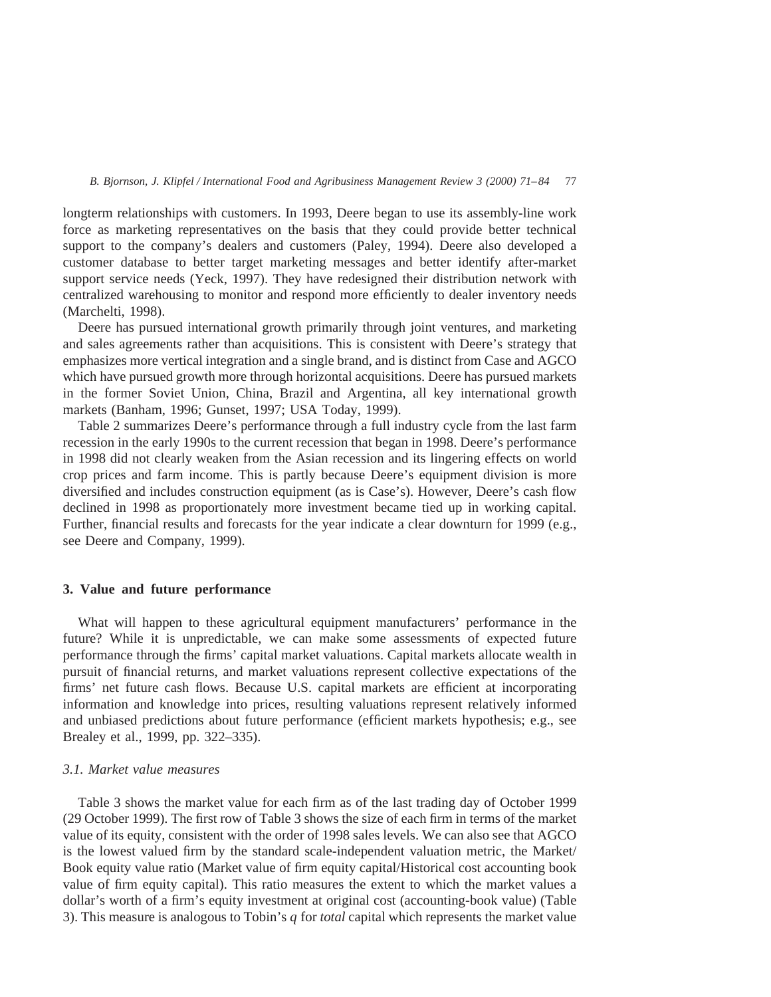longterm relationships with customers. In 1993, Deere began to use its assembly-line work force as marketing representatives on the basis that they could provide better technical support to the company's dealers and customers (Paley, 1994). Deere also developed a customer database to better target marketing messages and better identify after-market support service needs (Yeck, 1997). They have redesigned their distribution network with centralized warehousing to monitor and respond more efficiently to dealer inventory needs (Marchelti, 1998).

Deere has pursued international growth primarily through joint ventures, and marketing and sales agreements rather than acquisitions. This is consistent with Deere's strategy that emphasizes more vertical integration and a single brand, and is distinct from Case and AGCO which have pursued growth more through horizontal acquisitions. Deere has pursued markets in the former Soviet Union, China, Brazil and Argentina, all key international growth markets (Banham, 1996; Gunset, 1997; USA Today, 1999).

Table 2 summarizes Deere's performance through a full industry cycle from the last farm recession in the early 1990s to the current recession that began in 1998. Deere's performance in 1998 did not clearly weaken from the Asian recession and its lingering effects on world crop prices and farm income. This is partly because Deere's equipment division is more diversified and includes construction equipment (as is Case's). However, Deere's cash flow declined in 1998 as proportionately more investment became tied up in working capital. Further, financial results and forecasts for the year indicate a clear downturn for 1999 (e.g., see Deere and Company, 1999).

## **3. Value and future performance**

What will happen to these agricultural equipment manufacturers' performance in the future? While it is unpredictable, we can make some assessments of expected future performance through the firms' capital market valuations. Capital markets allocate wealth in pursuit of financial returns, and market valuations represent collective expectations of the firms' net future cash flows. Because U.S. capital markets are efficient at incorporating information and knowledge into prices, resulting valuations represent relatively informed and unbiased predictions about future performance (efficient markets hypothesis; e.g., see Brealey et al., 1999, pp. 322–335).

## *3.1. Market value measures*

Table 3 shows the market value for each firm as of the last trading day of October 1999 (29 October 1999). The first row of Table 3 shows the size of each firm in terms of the market value of its equity, consistent with the order of 1998 sales levels. We can also see that AGCO is the lowest valued firm by the standard scale-independent valuation metric, the Market/ Book equity value ratio (Market value of firm equity capital/Historical cost accounting book value of firm equity capital). This ratio measures the extent to which the market values a dollar's worth of a firm's equity investment at original cost (accounting-book value) (Table 3). This measure is analogous to Tobin's *q* for *total* capital which represents the market value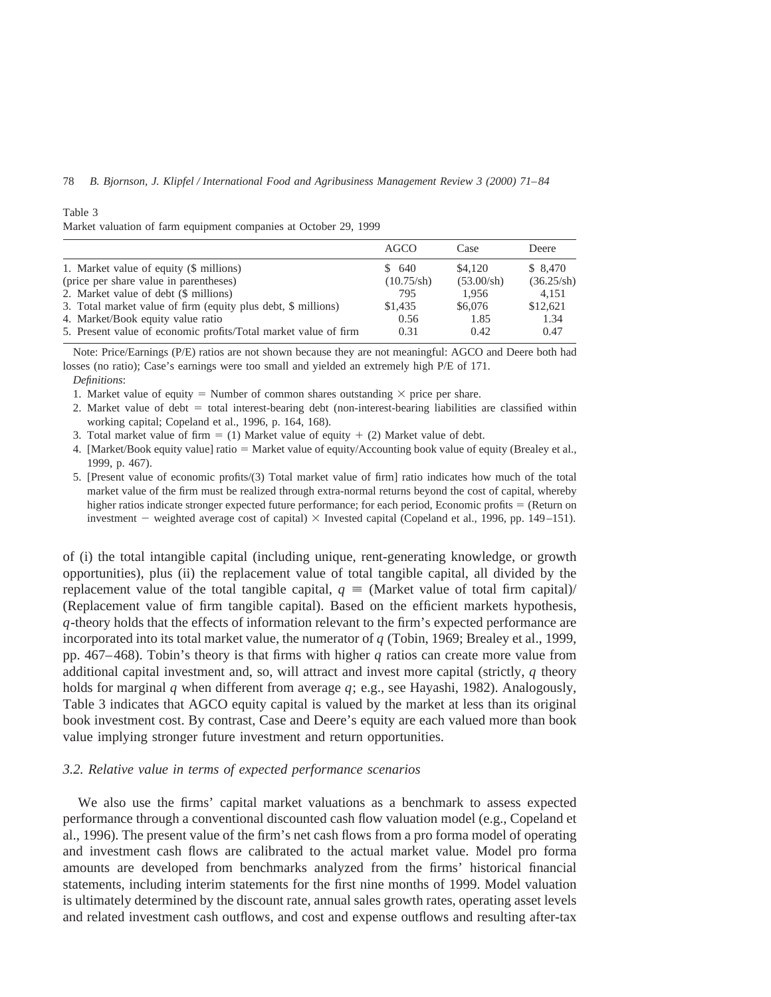| $\alpha$ internet valuation of rating equipment companies at October 27, 1777 |                     |                     |                     |  |  |  |
|-------------------------------------------------------------------------------|---------------------|---------------------|---------------------|--|--|--|
|                                                                               | AGCO                | Case                | Deere               |  |  |  |
| 1. Market value of equity (\$ millions)                                       | \$640               | \$4.120             | \$ 8.470            |  |  |  |
| (price per share value in parentheses)                                        | $(10.75/\text{sh})$ | $(53.00/\text{sh})$ | $(36.25/\text{sh})$ |  |  |  |
| 2. Market value of debt (\$ millions)                                         | 795                 | 1.956               | 4.151               |  |  |  |
| 3. Total market value of firm (equity plus debt, \$ millions)                 | \$1,435             | \$6,076             | \$12,621            |  |  |  |
| 4. Market/Book equity value ratio                                             | 0.56                | 1.85                | 1.34                |  |  |  |
| 5. Present value of economic profits/Total market value of firm               | 0.31                | 0.42                | 0.47                |  |  |  |

Table 3

Market valuation of farm equipment companies at October 29, 1999

Note: Price/Earnings (P/E) ratios are not shown because they are not meaningful: AGCO and Deere both had losses (no ratio); Case's earnings were too small and yielded an extremely high P/E of 171. *Definitions*:

1. Market value of equity = Number of common shares outstanding  $\times$  price per share.

- 2. Market value of debt  $=$  total interest-bearing debt (non-interest-bearing liabilities are classified within working capital; Copeland et al., 1996, p. 164, 168).
- 3. Total market value of firm  $= (1)$  Market value of equity  $+ (2)$  Market value of debt.
- 4. [Market/Book equity value] ratio = Market value of equity/Accounting book value of equity (Brealey et al., 1999, p. 467).
- 5. [Present value of economic profits/(3) Total market value of firm] ratio indicates how much of the total market value of the firm must be realized through extra-normal returns beyond the cost of capital, whereby higher ratios indicate stronger expected future performance; for each period, Economic profits = (Return on investment – weighted average cost of capital)  $\times$  Invested capital (Copeland et al., 1996, pp. 149–151).

of (i) the total intangible capital (including unique, rent-generating knowledge, or growth opportunities), plus (ii) the replacement value of total tangible capital, all divided by the replacement value of the total tangible capital,  $q \equiv$  (Market value of total firm capital)/ (Replacement value of firm tangible capital). Based on the efficient markets hypothesis, *q*-theory holds that the effects of information relevant to the firm's expected performance are incorporated into its total market value, the numerator of *q* (Tobin, 1969; Brealey et al., 1999, pp. 467–468). Tobin's theory is that firms with higher *q* ratios can create more value from additional capital investment and, so, will attract and invest more capital (strictly, *q* theory holds for marginal *q* when different from average *q*; e.g., see Hayashi, 1982). Analogously, Table 3 indicates that AGCO equity capital is valued by the market at less than its original book investment cost. By contrast, Case and Deere's equity are each valued more than book value implying stronger future investment and return opportunities.

# *3.2. Relative value in terms of expected performance scenarios*

We also use the firms' capital market valuations as a benchmark to assess expected performance through a conventional discounted cash flow valuation model (e.g., Copeland et al., 1996). The present value of the firm's net cash flows from a pro forma model of operating and investment cash flows are calibrated to the actual market value. Model pro forma amounts are developed from benchmarks analyzed from the firms' historical financial statements, including interim statements for the first nine months of 1999. Model valuation is ultimately determined by the discount rate, annual sales growth rates, operating asset levels and related investment cash outflows, and cost and expense outflows and resulting after-tax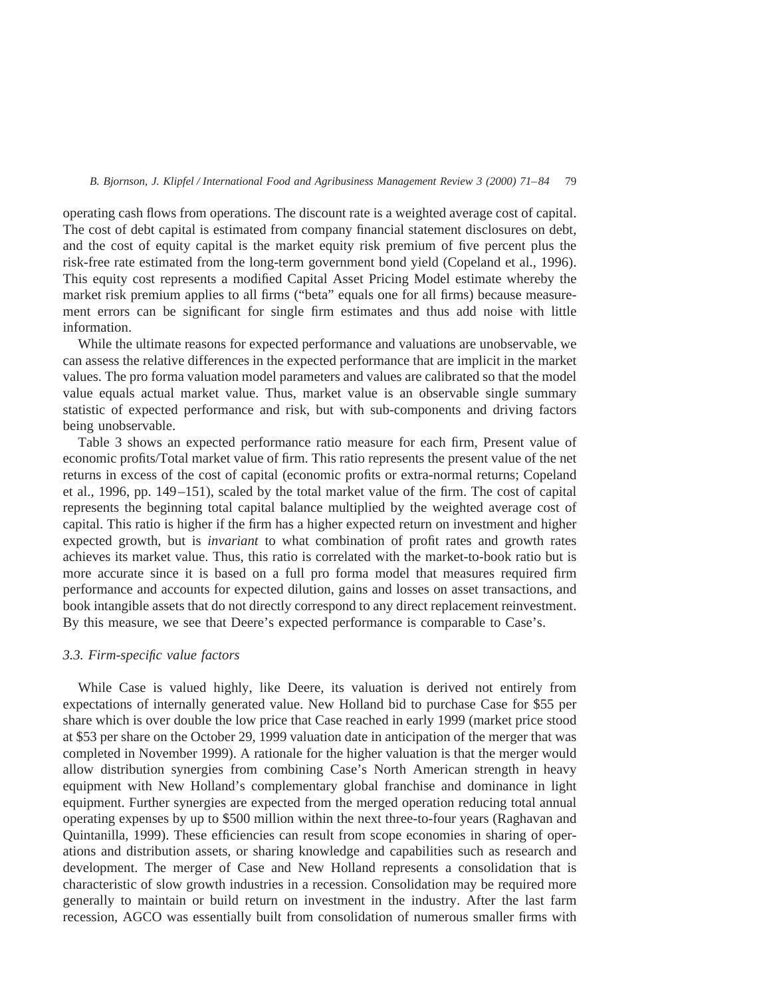operating cash flows from operations. The discount rate is a weighted average cost of capital. The cost of debt capital is estimated from company financial statement disclosures on debt, and the cost of equity capital is the market equity risk premium of five percent plus the risk-free rate estimated from the long-term government bond yield (Copeland et al., 1996). This equity cost represents a modified Capital Asset Pricing Model estimate whereby the market risk premium applies to all firms ("beta" equals one for all firms) because measurement errors can be significant for single firm estimates and thus add noise with little information.

While the ultimate reasons for expected performance and valuations are unobservable, we can assess the relative differences in the expected performance that are implicit in the market values. The pro forma valuation model parameters and values are calibrated so that the model value equals actual market value. Thus, market value is an observable single summary statistic of expected performance and risk, but with sub-components and driving factors being unobservable.

Table 3 shows an expected performance ratio measure for each firm, Present value of economic profits/Total market value of firm. This ratio represents the present value of the net returns in excess of the cost of capital (economic profits or extra-normal returns; Copeland et al., 1996, pp. 149–151), scaled by the total market value of the firm. The cost of capital represents the beginning total capital balance multiplied by the weighted average cost of capital. This ratio is higher if the firm has a higher expected return on investment and higher expected growth, but is *invariant* to what combination of profit rates and growth rates achieves its market value. Thus, this ratio is correlated with the market-to-book ratio but is more accurate since it is based on a full pro forma model that measures required firm performance and accounts for expected dilution, gains and losses on asset transactions, and book intangible assets that do not directly correspond to any direct replacement reinvestment. By this measure, we see that Deere's expected performance is comparable to Case's.

# *3.3. Firm-specific value factors*

While Case is valued highly, like Deere, its valuation is derived not entirely from expectations of internally generated value. New Holland bid to purchase Case for \$55 per share which is over double the low price that Case reached in early 1999 (market price stood at \$53 per share on the October 29, 1999 valuation date in anticipation of the merger that was completed in November 1999). A rationale for the higher valuation is that the merger would allow distribution synergies from combining Case's North American strength in heavy equipment with New Holland's complementary global franchise and dominance in light equipment. Further synergies are expected from the merged operation reducing total annual operating expenses by up to \$500 million within the next three-to-four years (Raghavan and Quintanilla, 1999). These efficiencies can result from scope economies in sharing of operations and distribution assets, or sharing knowledge and capabilities such as research and development. The merger of Case and New Holland represents a consolidation that is characteristic of slow growth industries in a recession. Consolidation may be required more generally to maintain or build return on investment in the industry. After the last farm recession, AGCO was essentially built from consolidation of numerous smaller firms with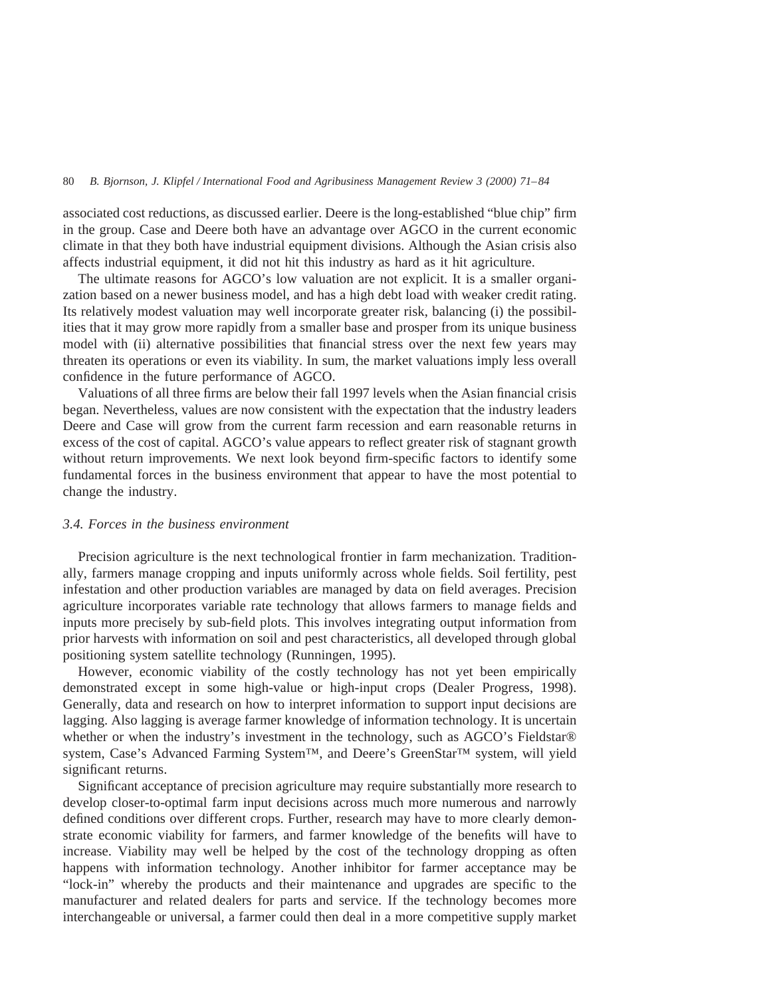associated cost reductions, as discussed earlier. Deere is the long-established "blue chip" firm in the group. Case and Deere both have an advantage over AGCO in the current economic climate in that they both have industrial equipment divisions. Although the Asian crisis also affects industrial equipment, it did not hit this industry as hard as it hit agriculture.

The ultimate reasons for AGCO's low valuation are not explicit. It is a smaller organization based on a newer business model, and has a high debt load with weaker credit rating. Its relatively modest valuation may well incorporate greater risk, balancing (i) the possibilities that it may grow more rapidly from a smaller base and prosper from its unique business model with (ii) alternative possibilities that financial stress over the next few years may threaten its operations or even its viability. In sum, the market valuations imply less overall confidence in the future performance of AGCO.

Valuations of all three firms are below their fall 1997 levels when the Asian financial crisis began. Nevertheless, values are now consistent with the expectation that the industry leaders Deere and Case will grow from the current farm recession and earn reasonable returns in excess of the cost of capital. AGCO's value appears to reflect greater risk of stagnant growth without return improvements. We next look beyond firm-specific factors to identify some fundamental forces in the business environment that appear to have the most potential to change the industry.

## *3.4. Forces in the business environment*

Precision agriculture is the next technological frontier in farm mechanization. Traditionally, farmers manage cropping and inputs uniformly across whole fields. Soil fertility, pest infestation and other production variables are managed by data on field averages. Precision agriculture incorporates variable rate technology that allows farmers to manage fields and inputs more precisely by sub-field plots. This involves integrating output information from prior harvests with information on soil and pest characteristics, all developed through global positioning system satellite technology (Runningen, 1995).

However, economic viability of the costly technology has not yet been empirically demonstrated except in some high-value or high-input crops (Dealer Progress, 1998). Generally, data and research on how to interpret information to support input decisions are lagging. Also lagging is average farmer knowledge of information technology. It is uncertain whether or when the industry's investment in the technology, such as AGCO's Fieldstar<sup>®</sup> system, Case's Advanced Farming System™, and Deere's GreenStar™ system, will yield significant returns.

Significant acceptance of precision agriculture may require substantially more research to develop closer-to-optimal farm input decisions across much more numerous and narrowly defined conditions over different crops. Further, research may have to more clearly demonstrate economic viability for farmers, and farmer knowledge of the benefits will have to increase. Viability may well be helped by the cost of the technology dropping as often happens with information technology. Another inhibitor for farmer acceptance may be "lock-in" whereby the products and their maintenance and upgrades are specific to the manufacturer and related dealers for parts and service. If the technology becomes more interchangeable or universal, a farmer could then deal in a more competitive supply market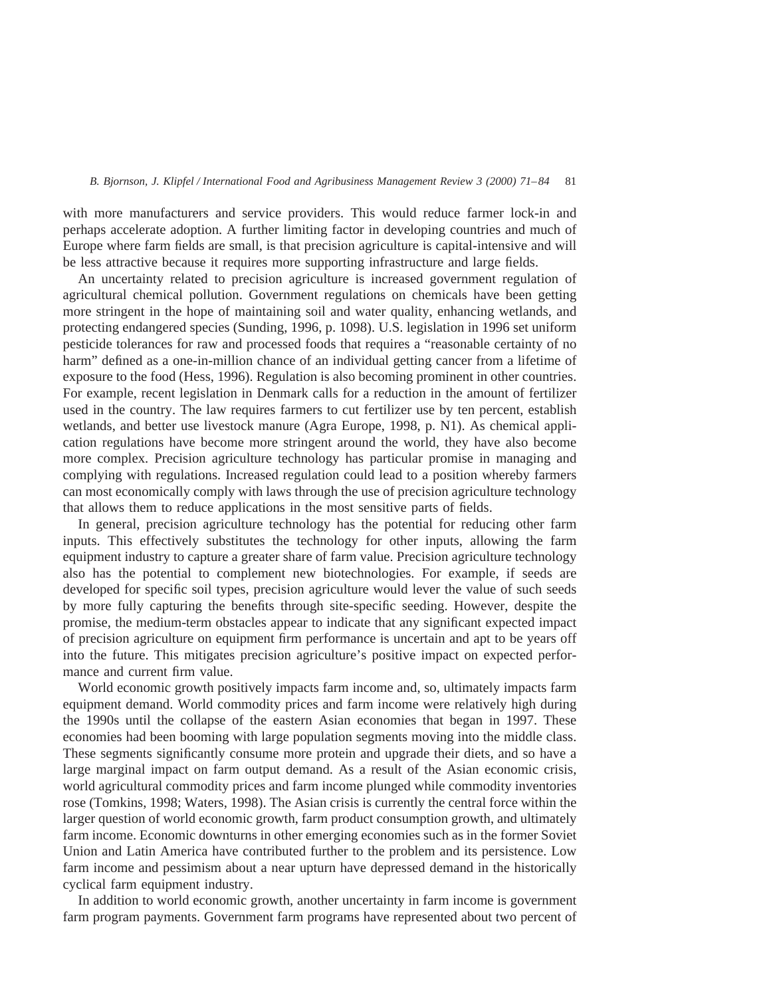with more manufacturers and service providers. This would reduce farmer lock-in and perhaps accelerate adoption. A further limiting factor in developing countries and much of Europe where farm fields are small, is that precision agriculture is capital-intensive and will be less attractive because it requires more supporting infrastructure and large fields.

An uncertainty related to precision agriculture is increased government regulation of agricultural chemical pollution. Government regulations on chemicals have been getting more stringent in the hope of maintaining soil and water quality, enhancing wetlands, and protecting endangered species (Sunding, 1996, p. 1098). U.S. legislation in 1996 set uniform pesticide tolerances for raw and processed foods that requires a "reasonable certainty of no harm" defined as a one-in-million chance of an individual getting cancer from a lifetime of exposure to the food (Hess, 1996). Regulation is also becoming prominent in other countries. For example, recent legislation in Denmark calls for a reduction in the amount of fertilizer used in the country. The law requires farmers to cut fertilizer use by ten percent, establish wetlands, and better use livestock manure (Agra Europe, 1998, p. N1). As chemical application regulations have become more stringent around the world, they have also become more complex. Precision agriculture technology has particular promise in managing and complying with regulations. Increased regulation could lead to a position whereby farmers can most economically comply with laws through the use of precision agriculture technology that allows them to reduce applications in the most sensitive parts of fields.

In general, precision agriculture technology has the potential for reducing other farm inputs. This effectively substitutes the technology for other inputs, allowing the farm equipment industry to capture a greater share of farm value. Precision agriculture technology also has the potential to complement new biotechnologies. For example, if seeds are developed for specific soil types, precision agriculture would lever the value of such seeds by more fully capturing the benefits through site-specific seeding. However, despite the promise, the medium-term obstacles appear to indicate that any significant expected impact of precision agriculture on equipment firm performance is uncertain and apt to be years off into the future. This mitigates precision agriculture's positive impact on expected performance and current firm value.

World economic growth positively impacts farm income and, so, ultimately impacts farm equipment demand. World commodity prices and farm income were relatively high during the 1990s until the collapse of the eastern Asian economies that began in 1997. These economies had been booming with large population segments moving into the middle class. These segments significantly consume more protein and upgrade their diets, and so have a large marginal impact on farm output demand. As a result of the Asian economic crisis, world agricultural commodity prices and farm income plunged while commodity inventories rose (Tomkins, 1998; Waters, 1998). The Asian crisis is currently the central force within the larger question of world economic growth, farm product consumption growth, and ultimately farm income. Economic downturns in other emerging economies such as in the former Soviet Union and Latin America have contributed further to the problem and its persistence. Low farm income and pessimism about a near upturn have depressed demand in the historically cyclical farm equipment industry.

In addition to world economic growth, another uncertainty in farm income is government farm program payments. Government farm programs have represented about two percent of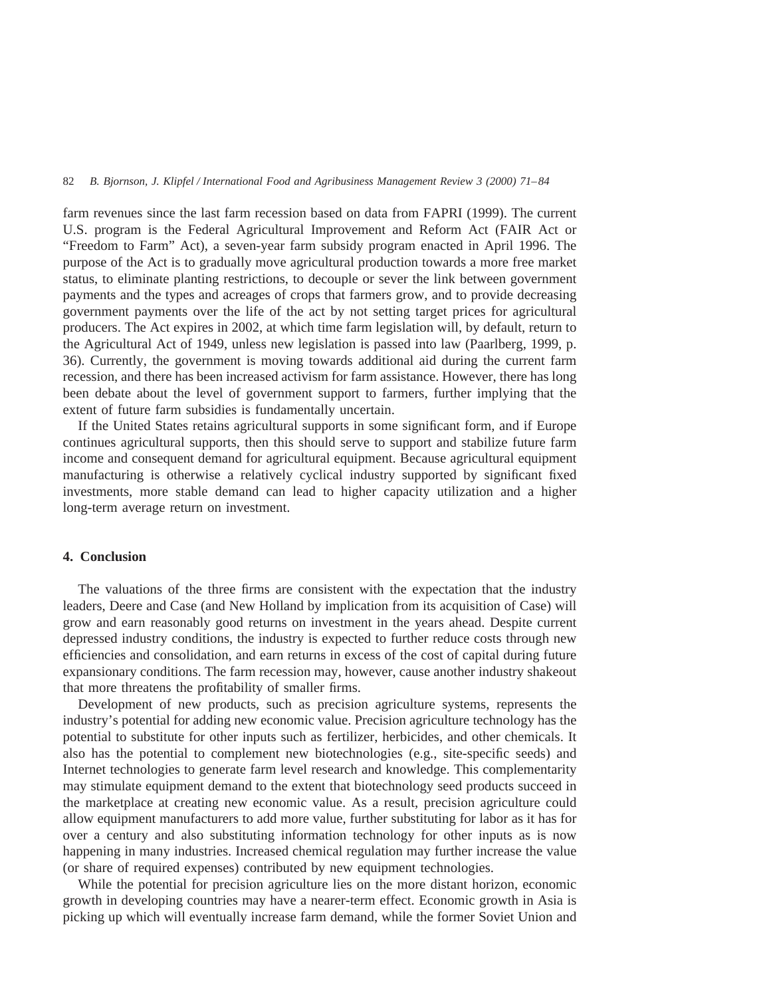farm revenues since the last farm recession based on data from FAPRI (1999). The current U.S. program is the Federal Agricultural Improvement and Reform Act (FAIR Act or "Freedom to Farm" Act), a seven-year farm subsidy program enacted in April 1996. The purpose of the Act is to gradually move agricultural production towards a more free market status, to eliminate planting restrictions, to decouple or sever the link between government payments and the types and acreages of crops that farmers grow, and to provide decreasing government payments over the life of the act by not setting target prices for agricultural producers. The Act expires in 2002, at which time farm legislation will, by default, return to the Agricultural Act of 1949, unless new legislation is passed into law (Paarlberg, 1999, p. 36). Currently, the government is moving towards additional aid during the current farm recession, and there has been increased activism for farm assistance. However, there has long been debate about the level of government support to farmers, further implying that the extent of future farm subsidies is fundamentally uncertain.

If the United States retains agricultural supports in some significant form, and if Europe continues agricultural supports, then this should serve to support and stabilize future farm income and consequent demand for agricultural equipment. Because agricultural equipment manufacturing is otherwise a relatively cyclical industry supported by significant fixed investments, more stable demand can lead to higher capacity utilization and a higher long-term average return on investment.

## **4. Conclusion**

The valuations of the three firms are consistent with the expectation that the industry leaders, Deere and Case (and New Holland by implication from its acquisition of Case) will grow and earn reasonably good returns on investment in the years ahead. Despite current depressed industry conditions, the industry is expected to further reduce costs through new efficiencies and consolidation, and earn returns in excess of the cost of capital during future expansionary conditions. The farm recession may, however, cause another industry shakeout that more threatens the profitability of smaller firms.

Development of new products, such as precision agriculture systems, represents the industry's potential for adding new economic value. Precision agriculture technology has the potential to substitute for other inputs such as fertilizer, herbicides, and other chemicals. It also has the potential to complement new biotechnologies (e.g., site-specific seeds) and Internet technologies to generate farm level research and knowledge. This complementarity may stimulate equipment demand to the extent that biotechnology seed products succeed in the marketplace at creating new economic value. As a result, precision agriculture could allow equipment manufacturers to add more value, further substituting for labor as it has for over a century and also substituting information technology for other inputs as is now happening in many industries. Increased chemical regulation may further increase the value (or share of required expenses) contributed by new equipment technologies.

While the potential for precision agriculture lies on the more distant horizon, economic growth in developing countries may have a nearer-term effect. Economic growth in Asia is picking up which will eventually increase farm demand, while the former Soviet Union and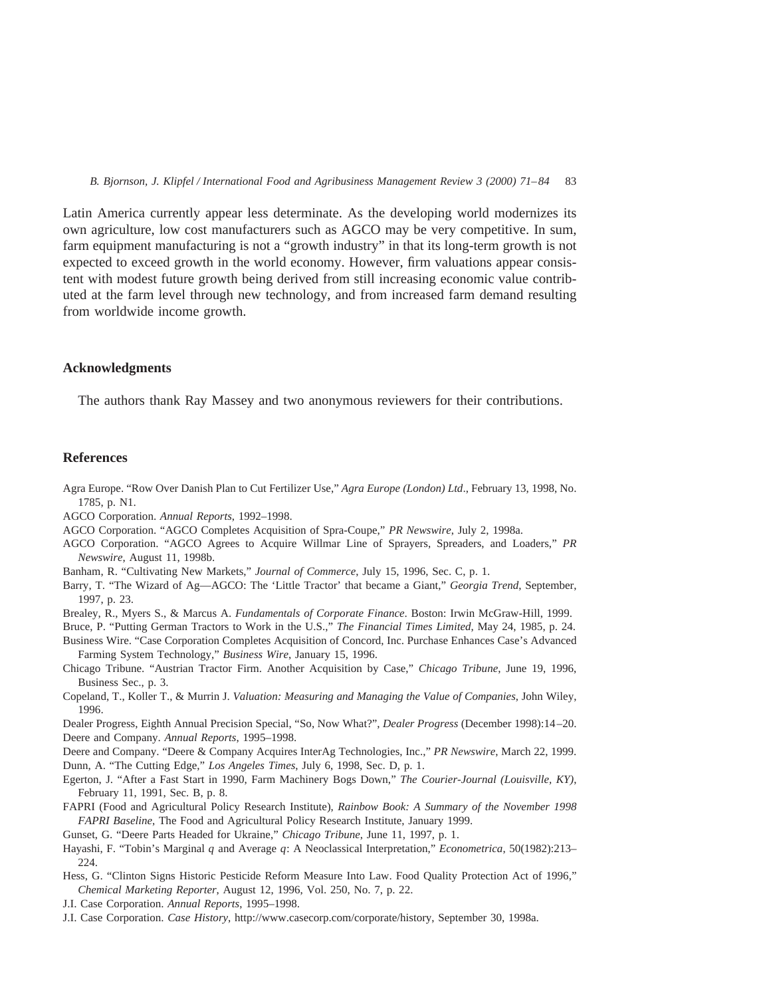Latin America currently appear less determinate. As the developing world modernizes its own agriculture, low cost manufacturers such as AGCO may be very competitive. In sum, farm equipment manufacturing is not a "growth industry" in that its long-term growth is not expected to exceed growth in the world economy. However, firm valuations appear consistent with modest future growth being derived from still increasing economic value contributed at the farm level through new technology, and from increased farm demand resulting from worldwide income growth.

#### **Acknowledgments**

The authors thank Ray Massey and two anonymous reviewers for their contributions.

#### **References**

- Agra Europe. "Row Over Danish Plan to Cut Fertilizer Use," *Agra Europe (London) Ltd*., February 13, 1998, No. 1785, p. N1.
- AGCO Corporation. *Annual Reports*, 1992–1998.
- AGCO Corporation. "AGCO Completes Acquisition of Spra-Coupe," *PR Newswire*, July 2, 1998a.
- AGCO Corporation. "AGCO Agrees to Acquire Willmar Line of Sprayers, Spreaders, and Loaders," *PR Newswire*, August 11, 1998b.
- Banham, R. "Cultivating New Markets," *Journal of Commerce*, July 15, 1996, Sec. C, p. 1.
- Barry, T. "The Wizard of Ag—AGCO: The 'Little Tractor' that became a Giant," *Georgia Trend*, September, 1997, p. 23.
- Brealey, R., Myers S., & Marcus A. *Fundamentals of Corporate Finance*. Boston: Irwin McGraw-Hill, 1999.
- Bruce, P. "Putting German Tractors to Work in the U.S.," *The Financial Times Limited*, May 24, 1985, p. 24.
- Business Wire. "Case Corporation Completes Acquisition of Concord, Inc. Purchase Enhances Case's Advanced Farming System Technology," *Business Wire*, January 15, 1996.
- Chicago Tribune. "Austrian Tractor Firm. Another Acquisition by Case," *Chicago Tribune*, June 19, 1996, Business Sec., p. 3.
- Copeland, T., Koller T., & Murrin J. *Valuation: Measuring and Managing the Value of Companies*, John Wiley, 1996.
- Dealer Progress, Eighth Annual Precision Special, "So, Now What?", *Dealer Progress* (December 1998):14–20. Deere and Company. *Annual Reports*, 1995–1998.
- Deere and Company. "Deere & Company Acquires InterAg Technologies, Inc.," *PR Newswire*, March 22, 1999. Dunn, A. "The Cutting Edge," *Los Angeles Times*, July 6, 1998, Sec. D, p. 1.
- Egerton, J. "After a Fast Start in 1990, Farm Machinery Bogs Down," *The Courier-Journal (Louisville, KY)*, February 11, 1991, Sec. B, p. 8.
- FAPRI (Food and Agricultural Policy Research Institute), *Rainbow Book: A Summary of the November 1998 FAPRI Baseline*, The Food and Agricultural Policy Research Institute, January 1999.
- Gunset, G. "Deere Parts Headed for Ukraine," *Chicago Tribune*, June 11, 1997, p. 1.
- Hayashi, F. "Tobin's Marginal *q* and Average *q*: A Neoclassical Interpretation," *Econometrica*, 50(1982):213– 224.
- Hess, G. "Clinton Signs Historic Pesticide Reform Measure Into Law. Food Quality Protection Act of 1996," *Chemical Marketing Reporter*, August 12, 1996, Vol. 250, No. 7, p. 22.
- J.I. Case Corporation. *Annual Reports*, 1995–1998.
- J.I. Case Corporation. *Case History*, http://www.casecorp.com/corporate/history, September 30, 1998a.